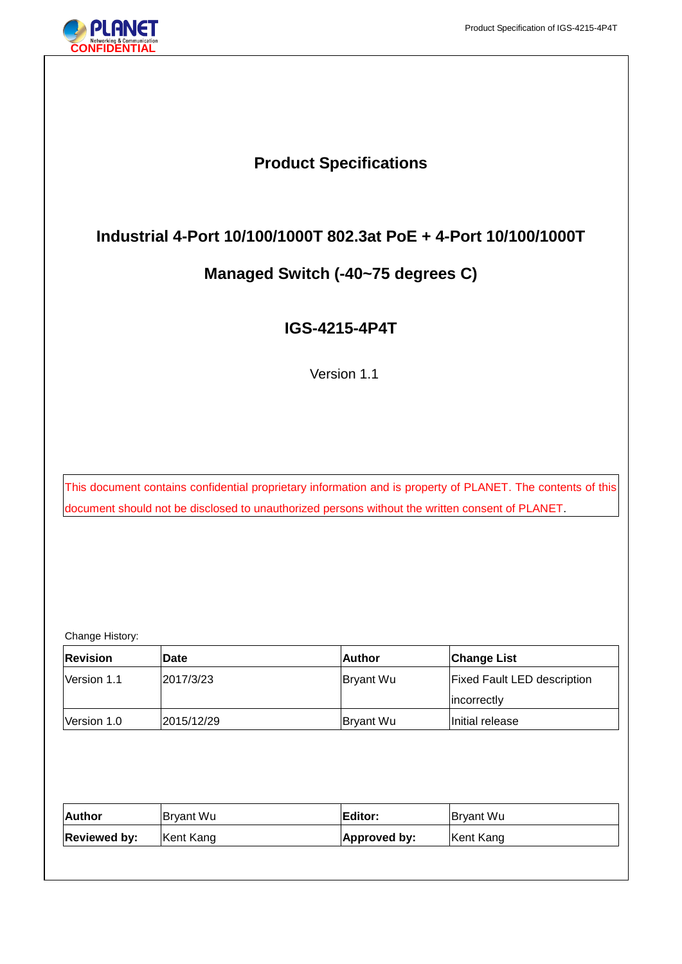Ξ

# **Product Specifications**

# **Industrial 4-Port 10/100/1000T 802.3at PoE + 4-Port 10/100/1000T**

# **Managed Switch (-40~75 degrees C)**

# **IGS-4215-4P4T**

Version 1.1

This document contains confidential proprietary information and is property of PLANET. The contents of this document should not be disclosed to unauthorized persons without the written consent of PLANET.

Change History:

| <b>Revision</b> | <b>IDate</b> | lAuthor          | <b>Change List</b>                 |
|-----------------|--------------|------------------|------------------------------------|
| Version 1.1     | 2017/3/23    | <b>Bryant Wu</b> | <b>Fixed Fault LED description</b> |
|                 |              |                  | lincorrectly                       |
| Version 1.0     | 2015/12/29   | Bryant Wu        | Initial release                    |

| Author              | Bryant Wu | Editor:      | Bryant Wu |
|---------------------|-----------|--------------|-----------|
| <b>Reviewed by:</b> | Kent Kang | Approved by: | Kent Kang |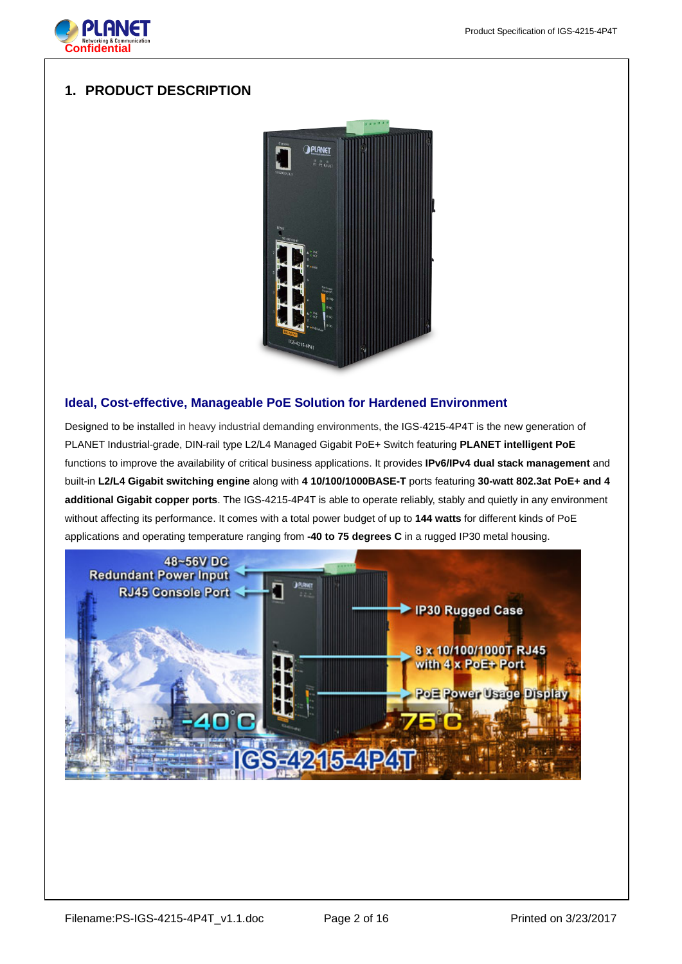

# **1. PRODUCT DESCRIPTION**



# **Ideal, Cost-effective, Manageable PoE Solution for Hardened Environment**

Designed to be installed in heavy industrial demanding environments, the IGS-4215-4P4T is the new generation of PLANET Industrial-grade, DIN-rail type L2/L4 Managed Gigabit PoE+ Switch featuring **PLANET intelligent PoE** functions to improve the availability of critical business applications. It provides **IPv6/IPv4 dual stack management** and built-in **L2/L4 Gigabit switching engine** along with **4 10/100/1000BASE-T** ports featuring **30-watt 802.3at PoE+ and 4 additional Gigabit copper ports**. The IGS-4215-4P4T is able to operate reliably, stably and quietly in any environment without affecting its performance. It comes with a total power budget of up to **144 watts** for different kinds of PoE applications and operating temperature ranging from **-40 to 75 degrees C** in a rugged IP30 metal housing.

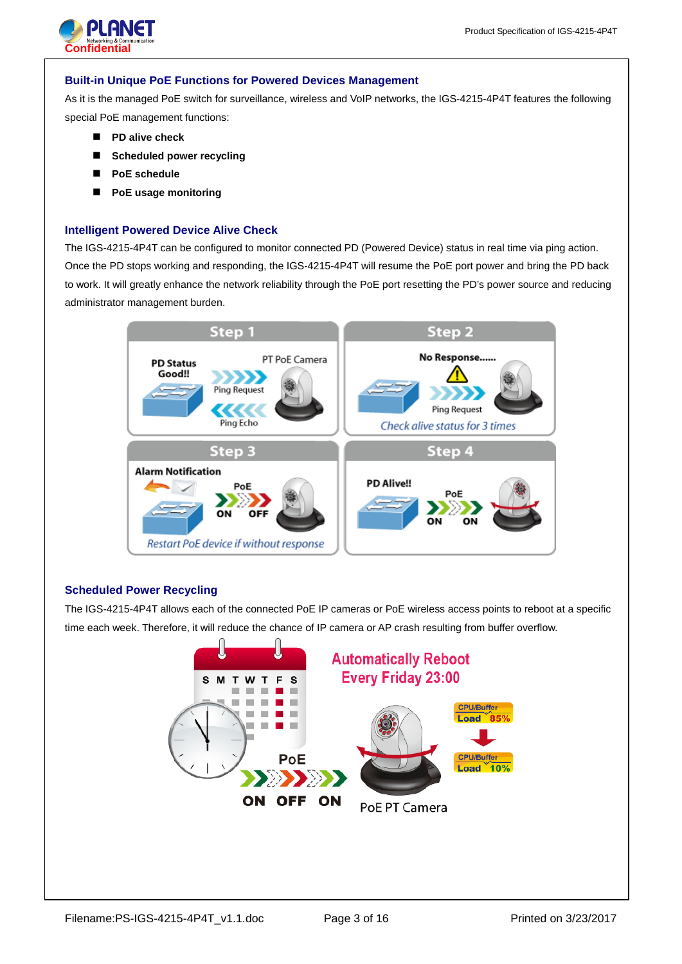

## **Built-in Unique PoE Functions for Powered Devices Management**

As it is the managed PoE switch for surveillance, wireless and VoIP networks, the IGS-4215-4P4T features the following special PoE management functions:

- **PD alive check**
- **Scheduled power recycling**
- **PoE schedule**
- **PoE usage monitoring**

# **Intelligent Powered Device Alive Check**

The IGS-4215-4P4T can be configured to monitor connected PD (Powered Device) status in real time via ping action. Once the PD stops working and responding, the IGS-4215-4P4T will resume the PoE port power and bring the PD back to work. It will greatly enhance the network reliability through the PoE port resetting the PD's power source and reducing administrator management burden.



# **Scheduled Power Recycling**

The IGS-4215-4P4T allows each of the connected PoE IP cameras or PoE wireless access points to reboot at a specific time each week. Therefore, it will reduce the chance of IP camera or AP crash resulting from buffer overflow.

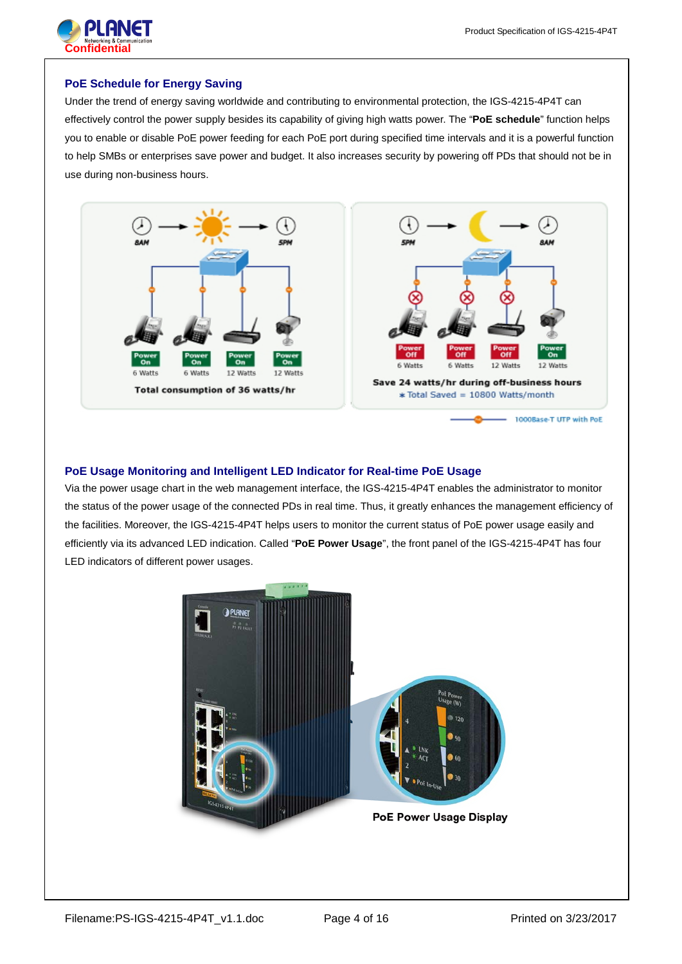

# **PoE Schedule for Energy Saving**

Under the trend of energy saving worldwide and contributing to environmental protection, the IGS-4215-4P4T can effectively control the power supply besides its capability of giving high watts power. The "**PoE schedule**" function helps you to enable or disable PoE power feeding for each PoE port during specified time intervals and it is a powerful function to help SMBs or enterprises save power and budget. It also increases security by powering off PDs that should not be in use during non-business hours.



# **PoE Usage Monitoring and Intelligent LED Indicator for Real-time PoE Usage**

Via the power usage chart in the web management interface, the IGS-4215-4P4T enables the administrator to monitor the status of the power usage of the connected PDs in real time. Thus, it greatly enhances the management efficiency of the facilities. Moreover, the IGS-4215-4P4T helps users to monitor the current status of PoE power usage easily and efficiently via its advanced LED indication. Called "**PoE Power Usage**", the front panel of the IGS-4215-4P4T has four LED indicators of different power usages.

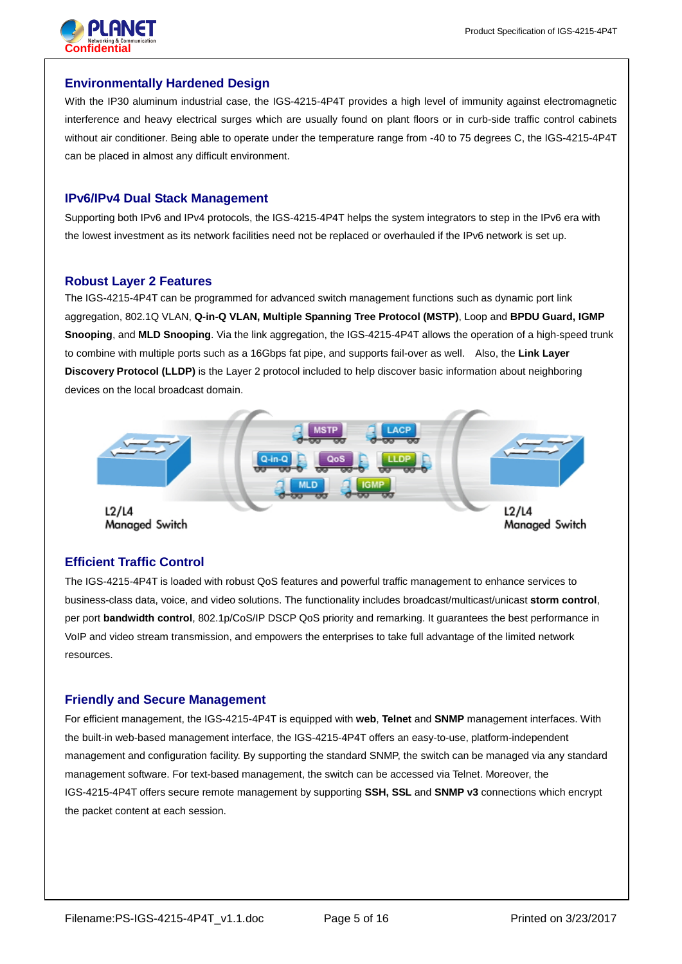



# **Environmentally Hardened Design**

With the IP30 aluminum industrial case, the IGS-4215-4P4T provides a high level of immunity against electromagnetic interference and heavy electrical surges which are usually found on plant floors or in curb-side traffic control cabinets without air conditioner. Being able to operate under the temperature range from -40 to 75 degrees C, the IGS-4215-4P4T can be placed in almost any difficult environment.

## **IPv6/IPv4 Dual Stack Management**

Supporting both IPv6 and IPv4 protocols, the IGS-4215-4P4T helps the system integrators to step in the IPv6 era with the lowest investment as its network facilities need not be replaced or overhauled if the IPv6 network is set up.

## **Robust Layer 2 Features**

The IGS-4215-4P4T can be programmed for advanced switch management functions such as dynamic port link aggregation, 802.1Q VLAN, **Q-in-Q VLAN, Multiple Spanning Tree Protocol (MSTP)**, Loop and **BPDU Guard, IGMP Snooping**, and **MLD Snooping**. Via the link aggregation, the IGS-4215-4P4T allows the operation of a high-speed trunk to combine with multiple ports such as a 16Gbps fat pipe, and supports fail-over as well. Also, the **Link Layer Discovery Protocol (LLDP)** is the Layer 2 protocol included to help discover basic information about neighboring devices on the local broadcast domain.



# **Efficient Traffic Control**

The IGS-4215-4P4T is loaded with robust QoS features and powerful traffic management to enhance services to business-class data, voice, and video solutions. The functionality includes broadcast/multicast/unicast **storm control**, per port **bandwidth control**, 802.1p/CoS/IP DSCP QoS priority and remarking. It guarantees the best performance in VoIP and video stream transmission, and empowers the enterprises to take full advantage of the limited network resources.

# **Friendly and Secure Management**

For efficient management, the IGS-4215-4P4T is equipped with **web**, **Telnet** and **SNMP** management interfaces. With the built-in web-based management interface, the IGS-4215-4P4T offers an easy-to-use, platform-independent management and configuration facility. By supporting the standard SNMP, the switch can be managed via any standard management software. For text-based management, the switch can be accessed via Telnet. Moreover, the IGS-4215-4P4T offers secure remote management by supporting **SSH, SSL** and **SNMP v3** connections which encrypt the packet content at each session.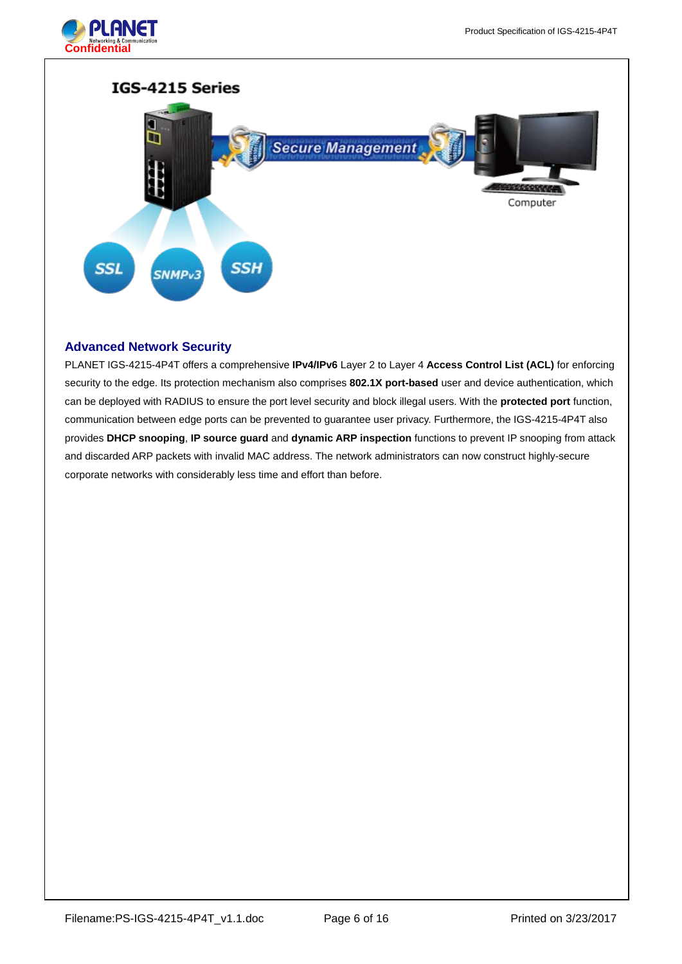



# **Advanced Network Security**

PLANET IGS-4215-4P4T offers a comprehensive **IPv4/IPv6** Layer 2 to Layer 4 **Access Control List (ACL)** for enforcing security to the edge. Its protection mechanism also comprises **802.1X port-based** user and device authentication, which can be deployed with RADIUS to ensure the port level security and block illegal users. With the **protected port** function, communication between edge ports can be prevented to guarantee user privacy. Furthermore, the IGS-4215-4P4T also provides **DHCP snooping**, **IP source guard** and **dynamic ARP inspection** functions to prevent IP snooping from attack and discarded ARP packets with invalid MAC address. The network administrators can now construct highly-secure corporate networks with considerably less time and effort than before.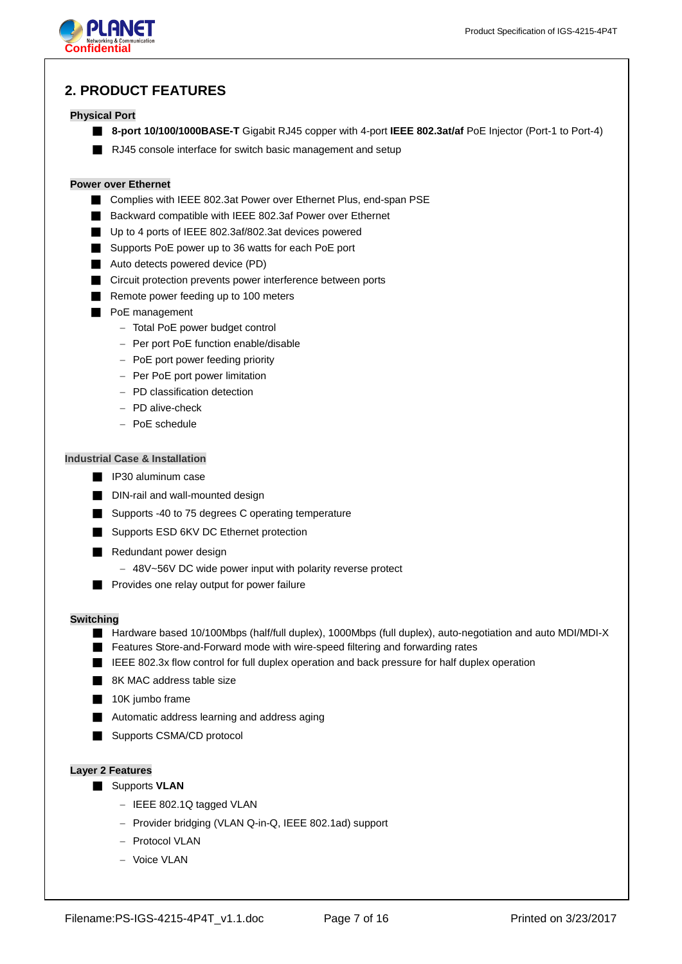

# **2. PRODUCT FEATURES**

## **Physical Port**

- **8-port 10/100/1000BASE-T** Gigabit RJ45 copper with 4-port **IEEE 802.3at/af** PoE Injector (Port-1 to Port-4)
- RJ45 console interface for switch basic management and setup

## **Power over Ethernet**

- Complies with IEEE 802.3at Power over Ethernet Plus, end-span PSE
- Backward compatible with IEEE 802.3af Power over Ethernet
- Up to 4 ports of IEEE 802.3af/802.3at devices powered
- Supports PoE power up to 36 watts for each PoE port
- Auto detects powered device (PD)
- Circuit protection prevents power interference between ports
- Remote power feeding up to 100 meters
- PoE management
	- − Total PoE power budget control
	- − Per port PoE function enable/disable
	- − PoE port power feeding priority
	- − Per PoE port power limitation
	- − PD classification detection
	- − PD alive-check
	- − PoE schedule

# **Industrial Case & Installation**

- IP30 aluminum case
- DIN-rail and wall-mounted design
- Supports -40 to 75 degrees C operating temperature
- Supports ESD 6KV DC Ethernet protection
- Redundant power design
	- − 48V~56V DC wide power input with polarity reverse protect
- Provides one relay output for power failure

#### **Switching**

- Hardware based 10/100Mbps (half/full duplex), 1000Mbps (full duplex), auto-negotiation and auto MDI/MDI-X
- Features Store-and-Forward mode with wire-speed filtering and forwarding rates
- IEEE 802.3x flow control for full duplex operation and back pressure for half duplex operation
- 8K MAC address table size
- 10K jumbo frame
- Automatic address learning and address aging
- Supports CSMA/CD protocol

### **Layer 2 Features**

- Supports **VLAN** 
	- − IEEE 802.1Q tagged VLAN
	- − Provider bridging (VLAN Q-in-Q, IEEE 802.1ad) support
	- − Protocol VLAN
	- − Voice VLAN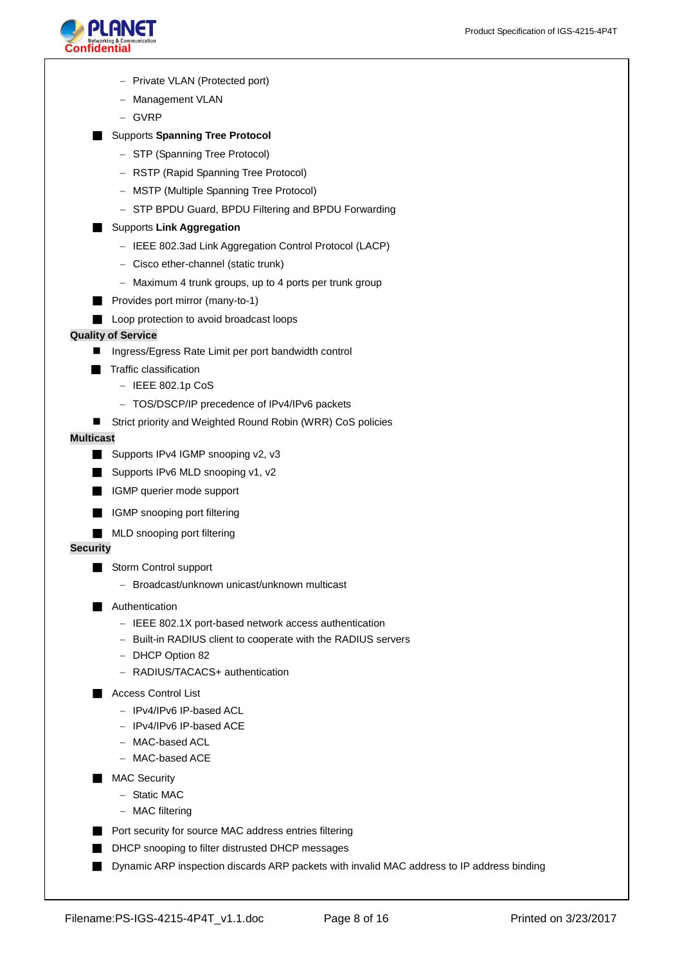

- − Private VLAN (Protected port)
- − Management VLAN
- − GVRP

# ■ Supports **Spanning Tree Protocol**

- − STP (Spanning Tree Protocol)
- − RSTP (Rapid Spanning Tree Protocol)
- − MSTP (Multiple Spanning Tree Protocol)
- − STP BPDU Guard, BPDU Filtering and BPDU Forwarding

### ■ Supports Link Aggregation

- − IEEE 802.3ad Link Aggregation Control Protocol (LACP)
- − Cisco ether-channel (static trunk)
- − Maximum 4 trunk groups, up to 4 ports per trunk group
- Provides port mirror (many-to-1)
- Loop protection to avoid broadcast loops

### **Quality of Service**

- Ingress/Egress Rate Limit per port bandwidth control
- Traffic classification
	- − IEEE 802.1p CoS
	- − TOS/DSCP/IP precedence of IPv4/IPv6 packets
- Strict priority and Weighted Round Robin (WRR) CoS policies

#### **Multicast**

- Supports IPv4 IGMP snooping v2, v3
- Supports IPv6 MLD snooping v1, v2
- IGMP querier mode support
- IGMP snooping port filtering
- MLD snooping port filtering

### **Security**

- Storm Control support
	- − Broadcast/unknown unicast/unknown multicast

#### ■ Authentication

- − IEEE 802.1X port-based network access authentication
- − Built-in RADIUS client to cooperate with the RADIUS servers
- − DHCP Option 82
- − RADIUS/TACACS+ authentication

#### ■ Access Control List

- − IPv4/IPv6 IP-based ACL
- − IPv4/IPv6 IP-based ACE
- − MAC-based ACL
- − MAC-based ACE
- MAC Security
	- − Static MAC
	- − MAC filtering
- Port security for source MAC address entries filtering
- DHCP snooping to filter distrusted DHCP messages
- Dynamic ARP inspection discards ARP packets with invalid MAC address to IP address binding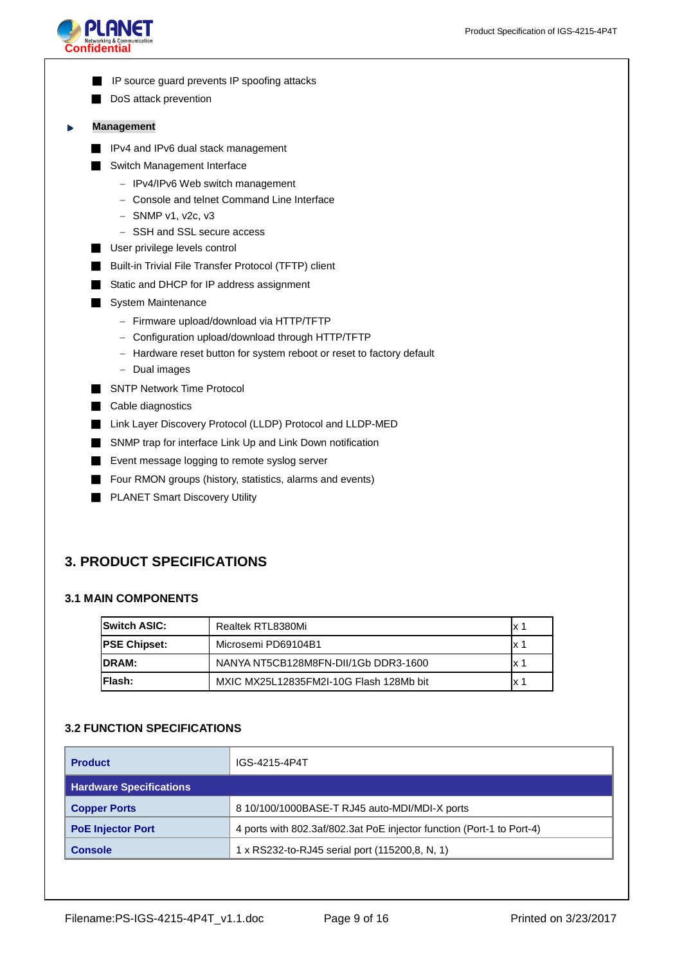

- IP source guard prevents IP spoofing attacks
- DoS attack prevention

#### **Management** Þ

- IPv4 and IPv6 dual stack management
- Switch Management Interface
	- − IPv4/IPv6 Web switch management
	- − Console and telnet Command Line Interface
	- − SNMP v1, v2c, v3
	- − SSH and SSL secure access
- User privilege levels control
- **Built-in Trivial File Transfer Protocol (TFTP) client**
- Static and DHCP for IP address assignment
- System Maintenance
	- − Firmware upload/download via HTTP/TFTP
	- − Configuration upload/download through HTTP/TFTP
	- − Hardware reset button for system reboot or reset to factory default
	- − Dual images
- SNTP Network Time Protocol
- Cable diagnostics
- Link Layer Discovery Protocol (LLDP) Protocol and LLDP-MED
- SNMP trap for interface Link Up and Link Down notification
- Event message logging to remote syslog server
- Four RMON groups (history, statistics, alarms and events)
- PLANET Smart Discovery Utility

# **3. PRODUCT SPECIFICATIONS**

# **3.1 MAIN COMPONENTS**

| <b>ISwitch ASIC:</b> | Realtek RTL8380Mi                       | x   |
|----------------------|-----------------------------------------|-----|
| <b>PSE Chipset:</b>  | Microsemi PD69104B1                     | x   |
| <b>IDRAM:</b>        | NANYA NT5CB128M8FN-DII/1Gb DDR3-1600    | x 1 |
| IFlash:              | MXIC MX25L12835FM2I-10G Flash 128Mb bit | x   |

# **3.2 FUNCTION SPECIFICATIONS**

| <b>Product</b>                 | IGS-4215-4P4T                                                         |
|--------------------------------|-----------------------------------------------------------------------|
| <b>Hardware Specifications</b> |                                                                       |
| <b>Copper Ports</b>            | 8 10/100/1000BASE-T RJ45 auto-MDI/MDI-X ports                         |
| <b>PoE Injector Port</b>       | 4 ports with 802.3af/802.3at PoE injector function (Port-1 to Port-4) |
| <b>Console</b>                 | 1 x RS232-to-RJ45 serial port (115200,8, N, 1)                        |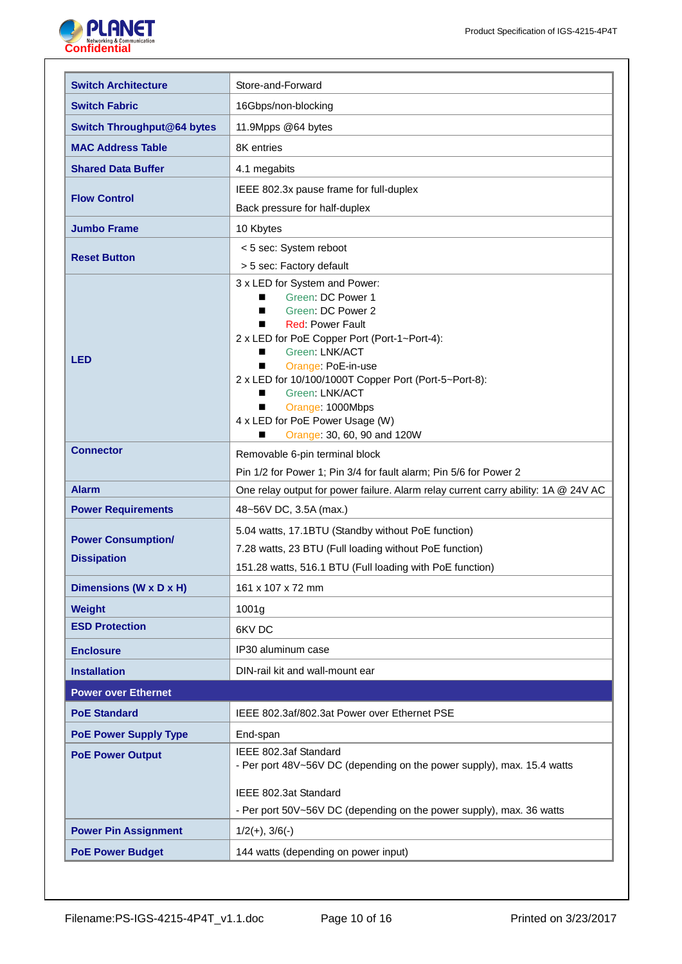

| <b>Switch Architecture</b>                      | Store-and-Forward                                                                                                                                                                                                                                                                                                                                                                              |
|-------------------------------------------------|------------------------------------------------------------------------------------------------------------------------------------------------------------------------------------------------------------------------------------------------------------------------------------------------------------------------------------------------------------------------------------------------|
| <b>Switch Fabric</b>                            | 16Gbps/non-blocking                                                                                                                                                                                                                                                                                                                                                                            |
| <b>Switch Throughput@64 bytes</b>               | 11.9Mpps @64 bytes                                                                                                                                                                                                                                                                                                                                                                             |
| <b>MAC Address Table</b>                        | 8K entries                                                                                                                                                                                                                                                                                                                                                                                     |
| <b>Shared Data Buffer</b>                       | 4.1 megabits                                                                                                                                                                                                                                                                                                                                                                                   |
|                                                 | IEEE 802.3x pause frame for full-duplex                                                                                                                                                                                                                                                                                                                                                        |
| <b>Flow Control</b>                             | Back pressure for half-duplex                                                                                                                                                                                                                                                                                                                                                                  |
| <b>Jumbo Frame</b>                              | 10 Kbytes                                                                                                                                                                                                                                                                                                                                                                                      |
|                                                 | < 5 sec: System reboot                                                                                                                                                                                                                                                                                                                                                                         |
| <b>Reset Button</b>                             | > 5 sec: Factory default                                                                                                                                                                                                                                                                                                                                                                       |
| <b>LED</b>                                      | 3 x LED for System and Power:<br>Green: DC Power 1<br>■<br>Green: DC Power 2<br>■<br><b>Red: Power Fault</b><br>■<br>2 x LED for PoE Copper Port (Port-1~Port-4):<br>Green: LNK/ACT<br>■<br>Orange: PoE-in-use<br>■<br>2 x LED for 10/100/1000T Copper Port (Port-5~Port-8):<br>Green: LNK/ACT<br>■<br>Orange: 1000Mbps<br>■<br>4 x LED for PoE Power Usage (W)<br>Orange: 30, 60, 90 and 120W |
| <b>Connector</b>                                | Removable 6-pin terminal block                                                                                                                                                                                                                                                                                                                                                                 |
|                                                 | Pin 1/2 for Power 1; Pin 3/4 for fault alarm; Pin 5/6 for Power 2                                                                                                                                                                                                                                                                                                                              |
| <b>Alarm</b>                                    | One relay output for power failure. Alarm relay current carry ability: 1A @ 24V AC                                                                                                                                                                                                                                                                                                             |
| <b>Power Requirements</b>                       | 48~56V DC, 3.5A (max.)                                                                                                                                                                                                                                                                                                                                                                         |
| <b>Power Consumption/</b><br><b>Dissipation</b> | 5.04 watts, 17.1BTU (Standby without PoE function)<br>7.28 watts, 23 BTU (Full loading without PoE function)<br>151.28 watts, 516.1 BTU (Full loading with PoE function)                                                                                                                                                                                                                       |
| Dimensions (W x D x H)                          | 161 x 107 x 72 mm                                                                                                                                                                                                                                                                                                                                                                              |
| <b>Weight</b>                                   | 1001g                                                                                                                                                                                                                                                                                                                                                                                          |
| <b>ESD Protection</b>                           | 6KV DC                                                                                                                                                                                                                                                                                                                                                                                         |
| <b>Enclosure</b>                                | IP30 aluminum case                                                                                                                                                                                                                                                                                                                                                                             |
| <b>Installation</b>                             | DIN-rail kit and wall-mount ear                                                                                                                                                                                                                                                                                                                                                                |
| <b>Power over Ethernet</b>                      |                                                                                                                                                                                                                                                                                                                                                                                                |
| <b>PoE Standard</b>                             | IEEE 802.3af/802.3at Power over Ethernet PSE                                                                                                                                                                                                                                                                                                                                                   |
| <b>PoE Power Supply Type</b>                    | End-span                                                                                                                                                                                                                                                                                                                                                                                       |
| <b>PoE Power Output</b>                         | IEEE 802.3af Standard<br>- Per port 48V~56V DC (depending on the power supply), max. 15.4 watts                                                                                                                                                                                                                                                                                                |
|                                                 | IEEE 802.3at Standard                                                                                                                                                                                                                                                                                                                                                                          |
|                                                 | - Per port 50V~56V DC (depending on the power supply), max. 36 watts                                                                                                                                                                                                                                                                                                                           |
| <b>Power Pin Assignment</b>                     | $1/2(+), 3/6(-)$                                                                                                                                                                                                                                                                                                                                                                               |
| <b>PoE Power Budget</b>                         | 144 watts (depending on power input)                                                                                                                                                                                                                                                                                                                                                           |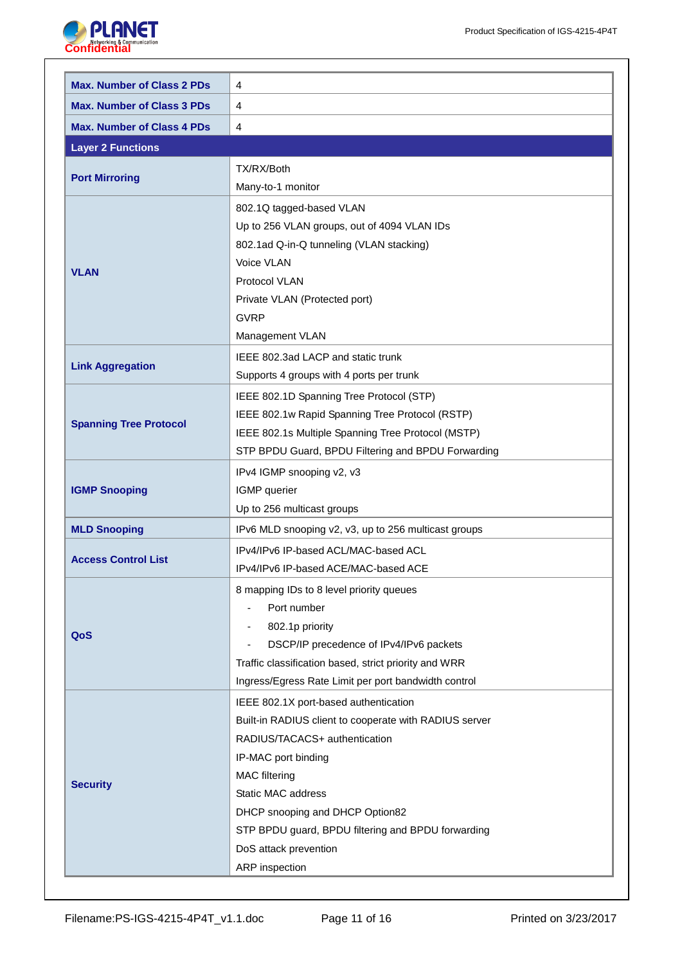

| <b>Max. Number of Class 2 PDs</b> | 4                                                      |
|-----------------------------------|--------------------------------------------------------|
| <b>Max. Number of Class 3 PDs</b> | 4                                                      |
| <b>Max. Number of Class 4 PDs</b> | $\overline{4}$                                         |
| <b>Layer 2 Functions</b>          |                                                        |
|                                   | TX/RX/Both                                             |
| <b>Port Mirroring</b>             | Many-to-1 monitor                                      |
|                                   | 802.1Q tagged-based VLAN                               |
|                                   | Up to 256 VLAN groups, out of 4094 VLAN IDs            |
|                                   | 802.1ad Q-in-Q tunneling (VLAN stacking)               |
| <b>VLAN</b>                       | Voice VLAN                                             |
|                                   | Protocol VLAN                                          |
|                                   | Private VLAN (Protected port)                          |
|                                   | <b>GVRP</b>                                            |
|                                   | Management VLAN                                        |
|                                   | IEEE 802.3ad LACP and static trunk                     |
| <b>Link Aggregation</b>           | Supports 4 groups with 4 ports per trunk               |
|                                   | IEEE 802.1D Spanning Tree Protocol (STP)               |
|                                   | IEEE 802.1w Rapid Spanning Tree Protocol (RSTP)        |
| <b>Spanning Tree Protocol</b>     | IEEE 802.1s Multiple Spanning Tree Protocol (MSTP)     |
|                                   | STP BPDU Guard, BPDU Filtering and BPDU Forwarding     |
|                                   | IPv4 IGMP snooping v2, v3                              |
| <b>IGMP Snooping</b>              | IGMP querier                                           |
|                                   | Up to 256 multicast groups                             |
| <b>MLD Snooping</b>               | IPv6 MLD snooping v2, v3, up to 256 multicast groups   |
|                                   | IPv4/IPv6 IP-based ACL/MAC-based ACL                   |
| <b>Access Control List</b>        | IPv4/IPv6 IP-based ACE/MAC-based ACE                   |
|                                   | 8 mapping IDs to 8 level priority queues               |
|                                   | Port number                                            |
| QoS                               | 802.1p priority<br>$\overline{\phantom{0}}$            |
|                                   | DSCP/IP precedence of IPv4/IPv6 packets                |
|                                   | Traffic classification based, strict priority and WRR  |
|                                   | Ingress/Egress Rate Limit per port bandwidth control   |
|                                   | IEEE 802.1X port-based authentication                  |
|                                   | Built-in RADIUS client to cooperate with RADIUS server |
|                                   | RADIUS/TACACS+ authentication                          |
|                                   | IP-MAC port binding                                    |
| <b>Security</b>                   | <b>MAC</b> filtering                                   |
|                                   | Static MAC address                                     |
|                                   | DHCP snooping and DHCP Option82                        |
|                                   | STP BPDU guard, BPDU filtering and BPDU forwarding     |
|                                   | DoS attack prevention                                  |
|                                   | ARP inspection                                         |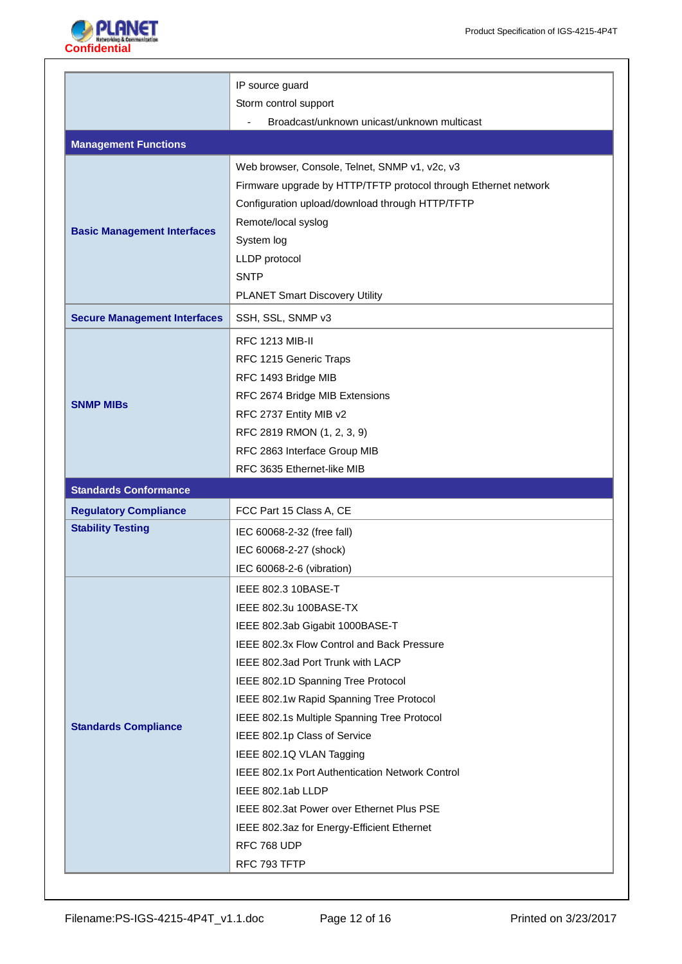

|                                     | IP source guard                                                      |
|-------------------------------------|----------------------------------------------------------------------|
|                                     | Storm control support<br>Broadcast/unknown unicast/unknown multicast |
|                                     |                                                                      |
| <b>Management Functions</b>         |                                                                      |
|                                     | Web browser, Console, Telnet, SNMP v1, v2c, v3                       |
|                                     | Firmware upgrade by HTTP/TFTP protocol through Ethernet network      |
|                                     | Configuration upload/download through HTTP/TFTP                      |
| <b>Basic Management Interfaces</b>  | Remote/local syslog                                                  |
|                                     | System log                                                           |
|                                     | LLDP protocol                                                        |
|                                     | <b>SNTP</b>                                                          |
|                                     | <b>PLANET Smart Discovery Utility</b>                                |
| <b>Secure Management Interfaces</b> | SSH, SSL, SNMP v3                                                    |
|                                     | <b>RFC 1213 MIB-II</b>                                               |
|                                     | RFC 1215 Generic Traps                                               |
|                                     | RFC 1493 Bridge MIB                                                  |
| <b>SNMP MIBS</b>                    | RFC 2674 Bridge MIB Extensions                                       |
|                                     | RFC 2737 Entity MIB v2                                               |
|                                     | RFC 2819 RMON (1, 2, 3, 9)                                           |
|                                     | RFC 2863 Interface Group MIB                                         |
|                                     | RFC 3635 Ethernet-like MIB                                           |
|                                     |                                                                      |
| <b>Standards Conformance</b>        |                                                                      |
| <b>Regulatory Compliance</b>        | FCC Part 15 Class A, CE                                              |
| <b>Stability Testing</b>            | IEC 60068-2-32 (free fall)                                           |
|                                     | IEC 60068-2-27 (shock)                                               |
|                                     | IEC 60068-2-6 (vibration)                                            |
|                                     | IEEE 802.3 10BASE-T                                                  |
|                                     | IEEE 802.3u 100BASE-TX                                               |
|                                     | IEEE 802.3ab Gigabit 1000BASE-T                                      |
|                                     | IEEE 802.3x Flow Control and Back Pressure                           |
|                                     | IEEE 802.3ad Port Trunk with LACP                                    |
|                                     | IEEE 802.1D Spanning Tree Protocol                                   |
|                                     | IEEE 802.1w Rapid Spanning Tree Protocol                             |
| <b>Standards Compliance</b>         | IEEE 802.1s Multiple Spanning Tree Protocol                          |
|                                     | IEEE 802.1p Class of Service                                         |
|                                     | IEEE 802.1Q VLAN Tagging                                             |
|                                     | IEEE 802.1x Port Authentication Network Control                      |
|                                     | IEEE 802.1ab LLDP                                                    |
|                                     | IEEE 802.3at Power over Ethernet Plus PSE                            |
|                                     | IEEE 802.3az for Energy-Efficient Ethernet                           |
|                                     | RFC 768 UDP<br>RFC 793 TFTP                                          |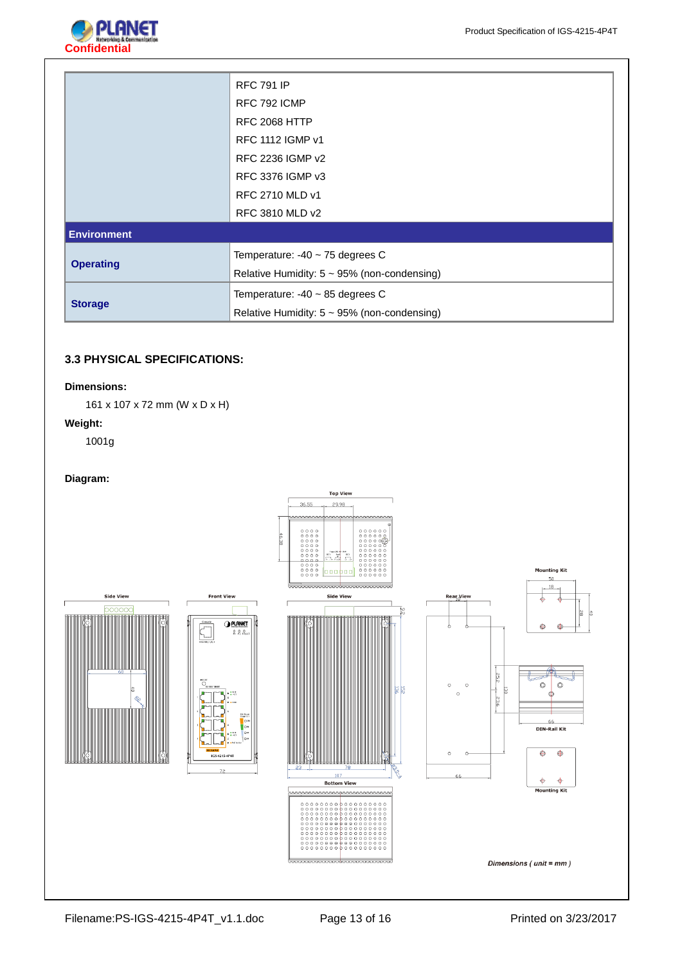

|                    | <b>RFC 791 IP</b>                                 |
|--------------------|---------------------------------------------------|
|                    | RFC 792 ICMP                                      |
|                    | <b>RFC 2068 HTTP</b>                              |
|                    | <b>RFC 1112 IGMP v1</b>                           |
|                    | RFC 2236 IGMP v2                                  |
|                    | RFC 3376 IGMP v3                                  |
|                    | RFC 2710 MLD v1                                   |
|                    | RFC 3810 MLD v2                                   |
| <b>Environment</b> |                                                   |
|                    | Temperature: $-40 \sim 75$ degrees C              |
| <b>Operating</b>   | Relative Humidity: $5 \sim 95\%$ (non-condensing) |
|                    | Temperature: $-40 \sim 85$ degrees C              |
| <b>Storage</b>     | Relative Humidity: $5 \sim 95\%$ (non-condensing) |

# **3.3 PHYSICAL SPECIFICATIONS:**

## **Dimensions:**

161 x 107 x 72 mm (W x D x H)

## **Weight:**

1001g

## **Diagram:**

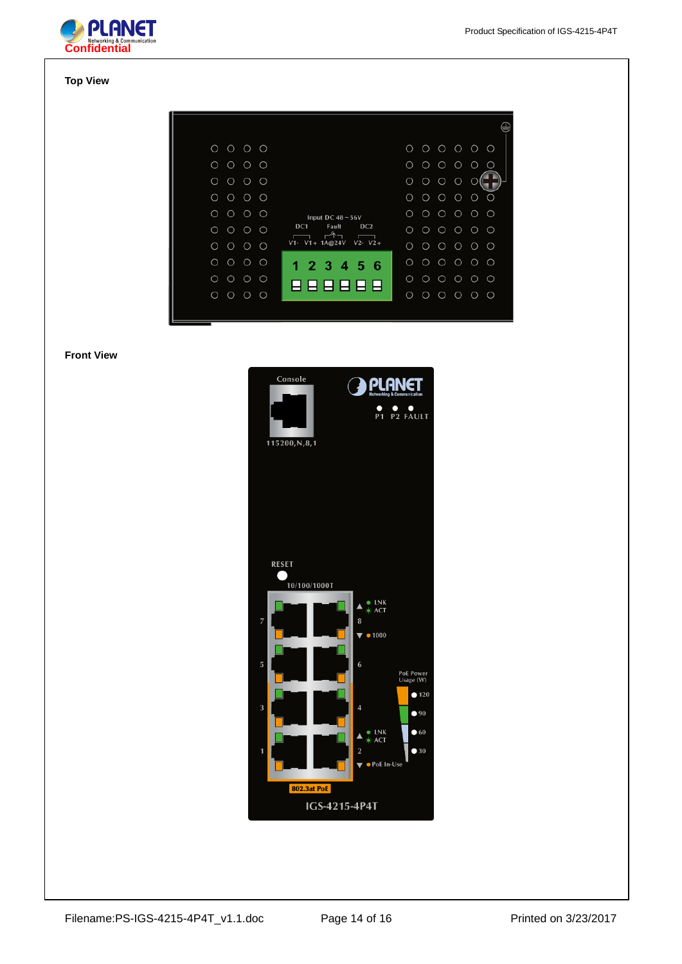

## **Top View**

| $O$ $O$ $O$<br>$\circ$                         |                                                             | $\circ$<br>$\circ \circ \circ \circ \circ$<br>$\circ$                   |
|------------------------------------------------|-------------------------------------------------------------|-------------------------------------------------------------------------|
| $\circ$<br>$\circ$<br>$\circ$<br>O             |                                                             | O<br>$\bigcirc$<br>$\bigcirc$<br>$\bigcirc$<br>$\bigcirc$<br>$\bigcirc$ |
| $\bigcirc$<br>O<br>$\circ$<br>$\circ$          |                                                             | $\circ$<br>O<br>$\circ$<br>O                                            |
| $\circ$<br>$\circ$<br>$\circ$<br>O             |                                                             | $\circ$<br>Ο<br>$\bigcirc$<br>$\circ$<br>$\bigcirc$<br>$\bigcirc$       |
| O<br>$\bigcirc$<br>$\circ$<br>$\circ$          | Input DC $48 - 56V$                                         | $\circ$<br>$\circ$<br>Ο<br>$\circ$<br>$\circ$<br>$\bigcap$              |
| $\bigcirc$<br>$\bigcirc$<br>O<br>$\bigcirc$    | DC <sub>1</sub><br>DC2<br>Fault<br>$\overline{\mathscr{N}}$ | O<br>$\circ$<br>$\circ$<br>$\circ$<br>$\bigcirc$<br>◯                   |
| $\circ$<br>$\circ$<br>$\circ$<br>$\circ$       | $V1 - V1 + 1A@24V$<br>$V2 - V2 +$                           | $\bigcirc$<br>$\circ$<br>$\circ$<br>$\circ$<br>$\circ$<br>$\bigcirc$    |
| $\circ$<br>O<br>O<br>$\circ$                   | 1 2 3 4 5 6                                                 | ◯<br>$\circ$<br>$\circ$<br>$\circ$<br>$\bigcirc$<br>O                   |
| $\circ$<br>$\bigcirc$<br>$\circ$<br>$\bigcirc$ | 888888                                                      | O<br>$\circ$<br>$\circ$<br>$\circ$<br>$\circ$<br>$\bigcirc$             |
| $\circ$<br>$\circ$<br>$\circ$<br>$\circ$       |                                                             | О<br>$\circ$<br>$\circ$<br>$\circ$<br>$\circ$<br>◯                      |
|                                                |                                                             |                                                                         |

## **Front View**

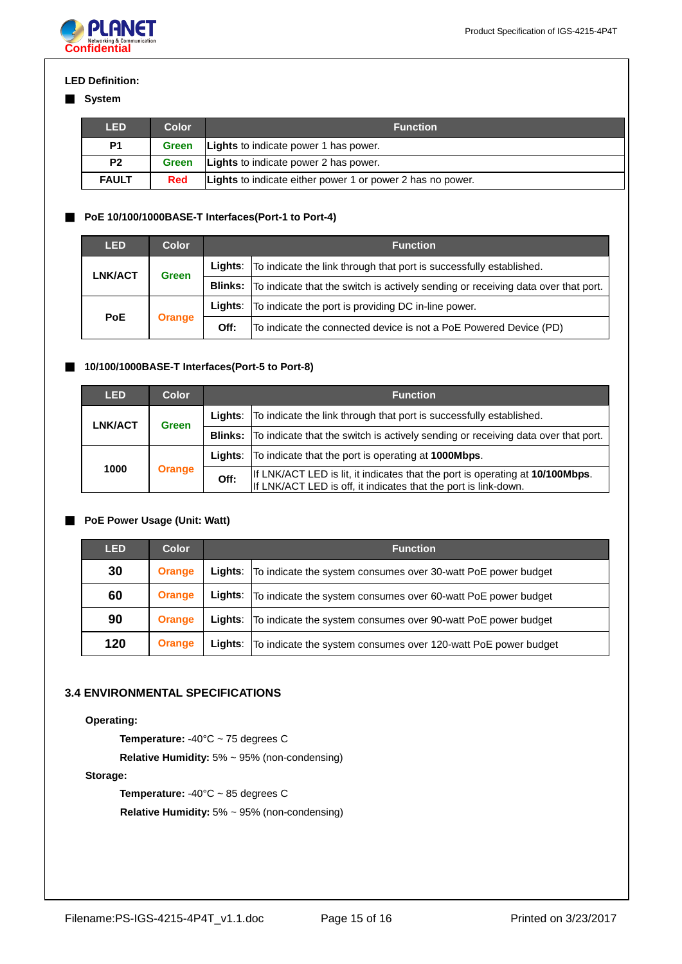

## **LED Definition:**

## ■ **System**

| LED            | Color        | <b>Function</b>                                            |
|----------------|--------------|------------------------------------------------------------|
| P1             | Green        | <b>Lights</b> to indicate power 1 has power.               |
| P <sub>2</sub> | <b>Green</b> | <b>Lights</b> to indicate power 2 has power.               |
| <b>FAULT</b>   | <b>Red</b>   | Lights to indicate either power 1 or power 2 has no power. |

# ■ **PoE 10/100/1000BASE-T Interfaces(Port-1 to Port-4)**

| <b>LED</b>              | <b>Color</b>  | <b>Function</b> |                                                                                                  |
|-------------------------|---------------|-----------------|--------------------------------------------------------------------------------------------------|
| LNK/ACT<br><b>Green</b> |               |                 | Lights: To indicate the link through that port is successfully established.                      |
|                         |               |                 | <b>Blinks:</b> To indicate that the switch is actively sending or receiving data over that port. |
| <b>PoE</b>              | <b>Orange</b> | Liahts:         | To indicate the port is providing DC in-line power.                                              |
|                         |               | Off:            | To indicate the connected device is not a PoE Powered Device (PD)                                |

## ■ **10/100/1000BASE-T Interfaces(Port-5 to Port-8)**

| <b>LED</b>     | <b>Color</b>  | <b>Function</b> |                                                                                                                                                  |
|----------------|---------------|-----------------|--------------------------------------------------------------------------------------------------------------------------------------------------|
| <b>LNK/ACT</b> | <b>Green</b>  |                 | <b>Lights:</b> To indicate the link through that port is successfully established.                                                               |
|                |               |                 | <b>Blinks:</b> To indicate that the switch is actively sending or receiving data over that port.                                                 |
| 1000           | <b>Orange</b> |                 | Lights: To indicate that the port is operating at 1000Mbps.                                                                                      |
|                |               | Off:            | If LNK/ACT LED is lit, it indicates that the port is operating at 10/100Mbps.<br>If LNK/ACT LED is off, it indicates that the port is link-down. |

# ■ **PoE Power Usage (Unit: Watt)**

| <b>LED</b> | <b>Color</b>  | <b>Function</b> |                                                                         |
|------------|---------------|-----------------|-------------------------------------------------------------------------|
| 30         | <b>Orange</b> |                 | Lights:   To indicate the system consumes over 30-watt PoE power budget |
| 60         | <b>Orange</b> | Lights:         | To indicate the system consumes over 60-watt PoE power budget           |
| 90         | <b>Orange</b> | Liahts:         | To indicate the system consumes over 90-watt PoE power budget           |
| 120        | <b>Orange</b> | Lights:         | To indicate the system consumes over 120-watt PoE power budget          |

## **3.4 ENVIRONMENTAL SPECIFICATIONS**

# **Operating:**

**Temperature:** -40°C ~ 75 degrees C

**Relative Humidity:** 5% ~ 95% (non-condensing)

# **Storage:**

**Temperature: -40°C ~ 85 degrees C Relative Humidity:** 5% ~ 95% (non-condensing)